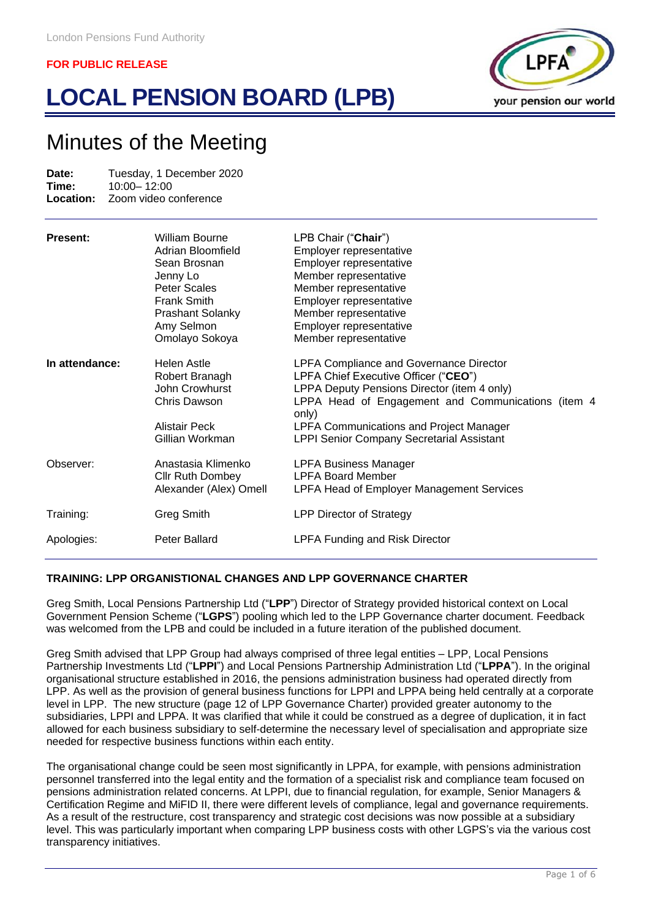# **LOCAL PENSION BOARD (LPB)**



# Minutes of the Meeting

| Date: | Tuesday, 1 December 2020               |
|-------|----------------------------------------|
| Time: | $10:00 - 12:00$                        |
|       | <b>Location:</b> Zoom video conference |

| <b>Present:</b> | <b>William Bourne</b><br>Adrian Bloomfield<br>Sean Brosnan<br>Jenny Lo<br>Peter Scales<br><b>Frank Smith</b><br><b>Prashant Solanky</b><br>Amy Selmon<br>Omolayo Sokoya | LPB Chair ("Chair")<br>Employer representative<br>Employer representative<br>Member representative<br>Member representative<br>Employer representative<br>Member representative<br>Employer representative<br>Member representative                                                                        |
|-----------------|-------------------------------------------------------------------------------------------------------------------------------------------------------------------------|------------------------------------------------------------------------------------------------------------------------------------------------------------------------------------------------------------------------------------------------------------------------------------------------------------|
| In attendance:  | Helen Astle<br>Robert Branagh<br>John Crowhurst<br>Chris Dawson<br>Alistair Peck<br>Gillian Workman                                                                     | <b>LPFA Compliance and Governance Director</b><br>LPFA Chief Executive Officer ("CEO")<br>LPPA Deputy Pensions Director (item 4 only)<br>LPPA Head of Engagement and Communications (item 4<br>only)<br><b>LPFA Communications and Project Manager</b><br><b>LPPI Senior Company Secretarial Assistant</b> |
| Observer:       | Anastasia Klimenko<br><b>Cllr Ruth Dombey</b><br>Alexander (Alex) Omell                                                                                                 | <b>LPFA Business Manager</b><br><b>LPFA Board Member</b><br><b>LPFA Head of Employer Management Services</b>                                                                                                                                                                                               |
| Training:       | Greg Smith                                                                                                                                                              | <b>LPP Director of Strategy</b>                                                                                                                                                                                                                                                                            |
| Apologies:      | Peter Ballard                                                                                                                                                           | <b>LPFA Funding and Risk Director</b>                                                                                                                                                                                                                                                                      |

# **TRAINING: LPP ORGANISTIONAL CHANGES AND LPP GOVERNANCE CHARTER**

Greg Smith, Local Pensions Partnership Ltd ("**LPP**") Director of Strategy provided historical context on Local Government Pension Scheme ("**LGPS**") pooling which led to the LPP Governance charter document. Feedback was welcomed from the LPB and could be included in a future iteration of the published document.

Greg Smith advised that LPP Group had always comprised of three legal entities – LPP, Local Pensions Partnership Investments Ltd ("**LPPI**") and Local Pensions Partnership Administration Ltd ("**LPPA**"). In the original organisational structure established in 2016, the pensions administration business had operated directly from LPP. As well as the provision of general business functions for LPPI and LPPA being held centrally at a corporate level in LPP. The new structure (page 12 of LPP Governance Charter) provided greater autonomy to the subsidiaries, LPPI and LPPA. It was clarified that while it could be construed as a degree of duplication, it in fact allowed for each business subsidiary to self-determine the necessary level of specialisation and appropriate size needed for respective business functions within each entity.

The organisational change could be seen most significantly in LPPA, for example, with pensions administration personnel transferred into the legal entity and the formation of a specialist risk and compliance team focused on pensions administration related concerns. At LPPI, due to financial regulation, for example, Senior Managers & Certification Regime and MiFID II, there were different levels of compliance, legal and governance requirements. As a result of the restructure, cost transparency and strategic cost decisions was now possible at a subsidiary level. This was particularly important when comparing LPP business costs with other LGPS's via the various cost transparency initiatives.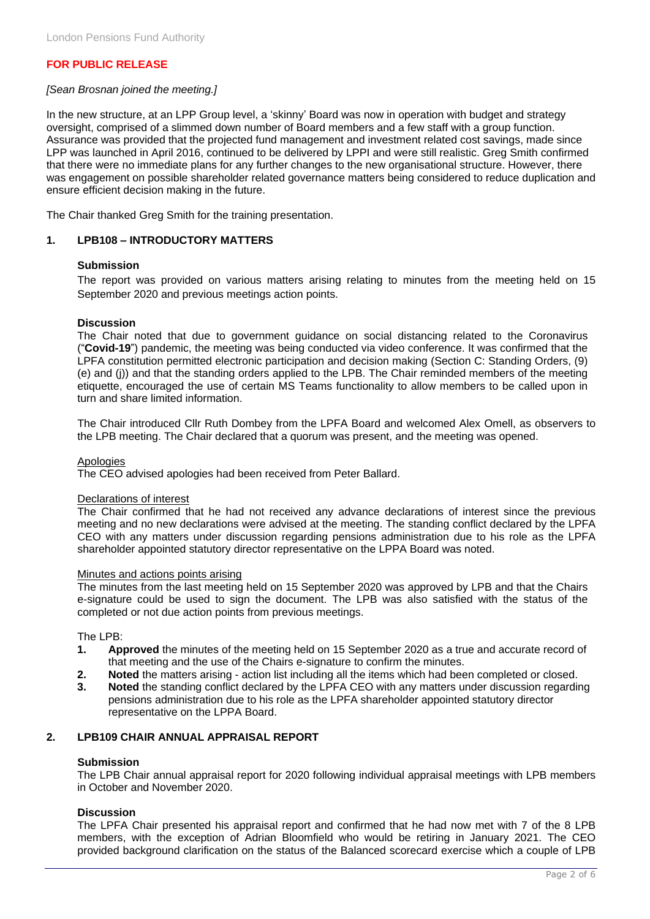### *[Sean Brosnan joined the meeting.]*

In the new structure, at an LPP Group level, a 'skinny' Board was now in operation with budget and strategy oversight, comprised of a slimmed down number of Board members and a few staff with a group function. Assurance was provided that the projected fund management and investment related cost savings, made since LPP was launched in April 2016, continued to be delivered by LPPI and were still realistic. Greg Smith confirmed that there were no immediate plans for any further changes to the new organisational structure. However, there was engagement on possible shareholder related governance matters being considered to reduce duplication and ensure efficient decision making in the future.

The Chair thanked Greg Smith for the training presentation.

#### **1. LPB108 – INTRODUCTORY MATTERS**

#### **Submission**

The report was provided on various matters arising relating to minutes from the meeting held on 15 September 2020 and previous meetings action points.

#### **Discussion**

The Chair noted that due to government guidance on social distancing related to the Coronavirus ("**Covid-19**") pandemic, the meeting was being conducted via video conference. It was confirmed that the LPFA constitution permitted electronic participation and decision making (Section C: Standing Orders, (9) (e) and (j)) and that the standing orders applied to the LPB. The Chair reminded members of the meeting etiquette, encouraged the use of certain MS Teams functionality to allow members to be called upon in turn and share limited information.

The Chair introduced Cllr Ruth Dombey from the LPFA Board and welcomed Alex Omell, as observers to the LPB meeting. The Chair declared that a quorum was present, and the meeting was opened.

#### **Apologies**

The CEO advised apologies had been received from Peter Ballard.

#### Declarations of interest

The Chair confirmed that he had not received any advance declarations of interest since the previous meeting and no new declarations were advised at the meeting. The standing conflict declared by the LPFA CEO with any matters under discussion regarding pensions administration due to his role as the LPFA shareholder appointed statutory director representative on the LPPA Board was noted.

#### Minutes and actions points arising

The minutes from the last meeting held on 15 September 2020 was approved by LPB and that the Chairs e-signature could be used to sign the document. The LPB was also satisfied with the status of the completed or not due action points from previous meetings.

The LPB:

- **1. Approved** the minutes of the meeting held on 15 September 2020 as a true and accurate record of that meeting and the use of the Chairs e-signature to confirm the minutes.
- **2. Noted** the matters arising action list including all the items which had been completed or closed.
- **3. Noted** the standing conflict declared by the LPFA CEO with any matters under discussion regarding pensions administration due to his role as the LPFA shareholder appointed statutory director representative on the LPPA Board.

# **2. LPB109 CHAIR ANNUAL APPRAISAL REPORT**

#### **Submission**

The LPB Chair annual appraisal report for 2020 following individual appraisal meetings with LPB members in October and November 2020.

#### **Discussion**

The LPFA Chair presented his appraisal report and confirmed that he had now met with 7 of the 8 LPB members, with the exception of Adrian Bloomfield who would be retiring in January 2021. The CEO provided background clarification on the status of the Balanced scorecard exercise which a couple of LPB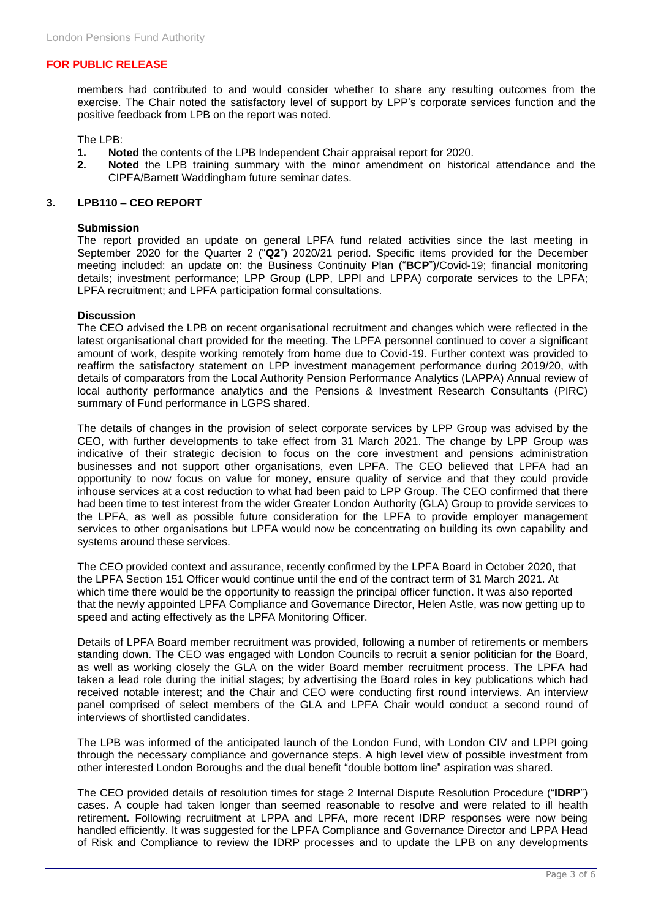members had contributed to and would consider whether to share any resulting outcomes from the exercise. The Chair noted the satisfactory level of support by LPP's corporate services function and the positive feedback from LPB on the report was noted.

The LPB:

- **1. Noted** the contents of the LPB Independent Chair appraisal report for 2020.
- **2. Noted** the LPB training summary with the minor amendment on historical attendance and the CIPFA/Barnett Waddingham future seminar dates.

#### **3. LPB110 – CEO REPORT**

#### **Submission**

The report provided an update on general LPFA fund related activities since the last meeting in September 2020 for the Quarter 2 ("**Q2**") 2020/21 period. Specific items provided for the December meeting included: an update on: the Business Continuity Plan ("**BCP**")/Covid-19; financial monitoring details; investment performance; LPP Group (LPP, LPPI and LPPA) corporate services to the LPFA; LPFA recruitment; and LPFA participation formal consultations.

#### **Discussion**

The CEO advised the LPB on recent organisational recruitment and changes which were reflected in the latest organisational chart provided for the meeting. The LPFA personnel continued to cover a significant amount of work, despite working remotely from home due to Covid-19. Further context was provided to reaffirm the satisfactory statement on LPP investment management performance during 2019/20, with details of comparators from the Local Authority Pension Performance Analytics (LAPPA) Annual review of local authority performance analytics and the Pensions & Investment Research Consultants (PIRC) summary of Fund performance in LGPS shared.

The details of changes in the provision of select corporate services by LPP Group was advised by the CEO, with further developments to take effect from 31 March 2021. The change by LPP Group was indicative of their strategic decision to focus on the core investment and pensions administration businesses and not support other organisations, even LPFA. The CEO believed that LPFA had an opportunity to now focus on value for money, ensure quality of service and that they could provide inhouse services at a cost reduction to what had been paid to LPP Group. The CEO confirmed that there had been time to test interest from the wider Greater London Authority (GLA) Group to provide services to the LPFA, as well as possible future consideration for the LPFA to provide employer management services to other organisations but LPFA would now be concentrating on building its own capability and systems around these services.

The CEO provided context and assurance, recently confirmed by the LPFA Board in October 2020, that the LPFA Section 151 Officer would continue until the end of the contract term of 31 March 2021. At which time there would be the opportunity to reassign the principal officer function. It was also reported that the newly appointed LPFA Compliance and Governance Director, Helen Astle, was now getting up to speed and acting effectively as the LPFA Monitoring Officer.

Details of LPFA Board member recruitment was provided, following a number of retirements or members standing down. The CEO was engaged with London Councils to recruit a senior politician for the Board, as well as working closely the GLA on the wider Board member recruitment process. The LPFA had taken a lead role during the initial stages; by advertising the Board roles in key publications which had received notable interest; and the Chair and CEO were conducting first round interviews. An interview panel comprised of select members of the GLA and LPFA Chair would conduct a second round of interviews of shortlisted candidates.

The LPB was informed of the anticipated launch of the London Fund, with London CIV and LPPI going through the necessary compliance and governance steps. A high level view of possible investment from other interested London Boroughs and the dual benefit "double bottom line" aspiration was shared.

The CEO provided details of resolution times for stage 2 Internal Dispute Resolution Procedure ("**IDRP**") cases. A couple had taken longer than seemed reasonable to resolve and were related to ill health retirement. Following recruitment at LPPA and LPFA, more recent IDRP responses were now being handled efficiently. It was suggested for the LPFA Compliance and Governance Director and LPPA Head of Risk and Compliance to review the IDRP processes and to update the LPB on any developments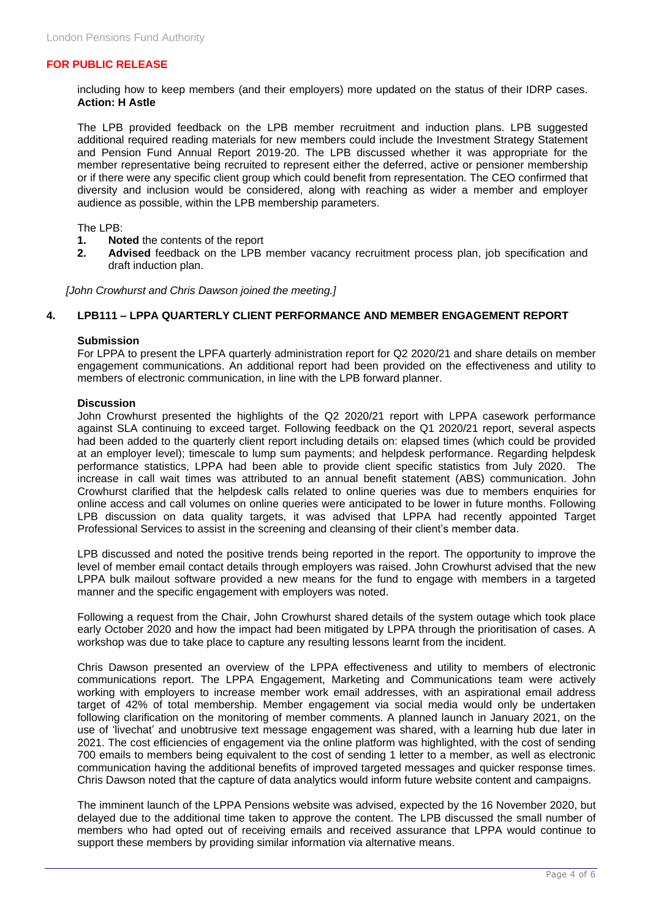including how to keep members (and their employers) more updated on the status of their IDRP cases. **Action: H Astle**

The LPB provided feedback on the LPB member recruitment and induction plans. LPB suggested additional required reading materials for new members could include the Investment Strategy Statement and Pension Fund Annual Report 2019-20. The LPB discussed whether it was appropriate for the member representative being recruited to represent either the deferred, active or pensioner membership or if there were any specific client group which could benefit from representation. The CEO confirmed that diversity and inclusion would be considered, along with reaching as wider a member and employer audience as possible, within the LPB membership parameters.

#### The LPB:

- **1. Noted** the contents of the report
- **2. Advised** feedback on the LPB member vacancy recruitment process plan, job specification and draft induction plan.

*[John Crowhurst and Chris Dawson joined the meeting.]*

#### **4. LPB111 – LPPA QUARTERLY CLIENT PERFORMANCE AND MEMBER ENGAGEMENT REPORT**

#### **Submission**

For LPPA to present the LPFA quarterly administration report for Q2 2020/21 and share details on member engagement communications. An additional report had been provided on the effectiveness and utility to members of electronic communication, in line with the LPB forward planner.

#### **Discussion**

John Crowhurst presented the highlights of the Q2 2020/21 report with LPPA casework performance against SLA continuing to exceed target. Following feedback on the Q1 2020/21 report, several aspects had been added to the quarterly client report including details on: elapsed times (which could be provided at an employer level); timescale to lump sum payments; and helpdesk performance. Regarding helpdesk performance statistics, LPPA had been able to provide client specific statistics from July 2020. The increase in call wait times was attributed to an annual benefit statement (ABS) communication. John Crowhurst clarified that the helpdesk calls related to online queries was due to members enquiries for online access and call volumes on online queries were anticipated to be lower in future months. Following LPB discussion on data quality targets, it was advised that LPPA had recently appointed Target Professional Services to assist in the screening and cleansing of their client's member data.

LPB discussed and noted the positive trends being reported in the report. The opportunity to improve the level of member email contact details through employers was raised. John Crowhurst advised that the new LPPA bulk mailout software provided a new means for the fund to engage with members in a targeted manner and the specific engagement with employers was noted.

Following a request from the Chair, John Crowhurst shared details of the system outage which took place early October 2020 and how the impact had been mitigated by LPPA through the prioritisation of cases. A workshop was due to take place to capture any resulting lessons learnt from the incident.

Chris Dawson presented an overview of the LPPA effectiveness and utility to members of electronic communications report. The LPPA Engagement, Marketing and Communications team were actively working with employers to increase member work email addresses, with an aspirational email address target of 42% of total membership. Member engagement via social media would only be undertaken following clarification on the monitoring of member comments. A planned launch in January 2021, on the use of 'livechat' and unobtrusive text message engagement was shared, with a learning hub due later in 2021. The cost efficiencies of engagement via the online platform was highlighted, with the cost of sending 700 emails to members being equivalent to the cost of sending 1 letter to a member, as well as electronic communication having the additional benefits of improved targeted messages and quicker response times. Chris Dawson noted that the capture of data analytics would inform future website content and campaigns.

The imminent launch of the LPPA Pensions website was advised, expected by the 16 November 2020, but delayed due to the additional time taken to approve the content. The LPB discussed the small number of members who had opted out of receiving emails and received assurance that LPPA would continue to support these members by providing similar information via alternative means.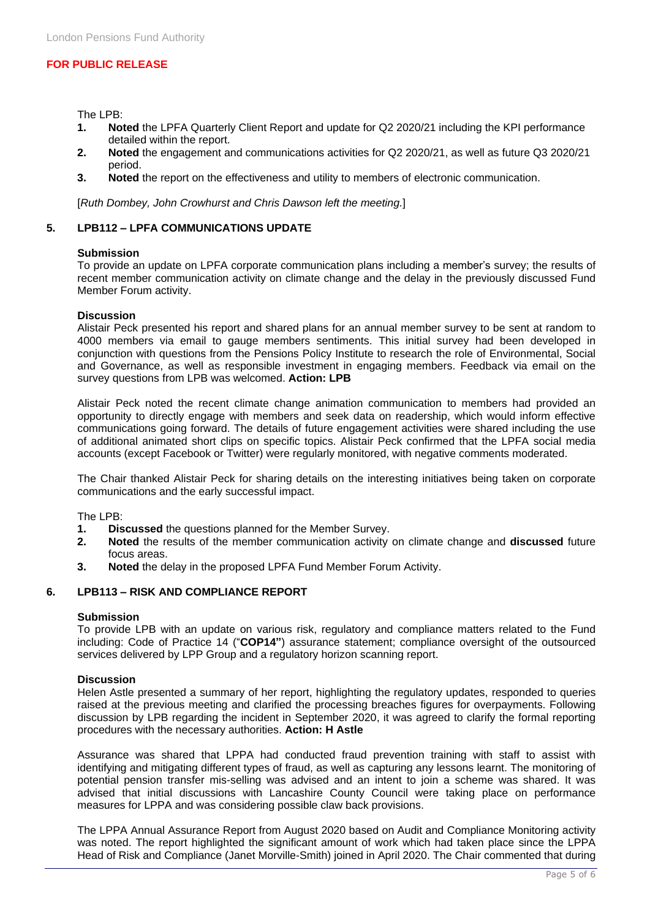The LPB:

- **1. Noted** the LPFA Quarterly Client Report and update for Q2 2020/21 including the KPI performance detailed within the report.
- **2. Noted** the engagement and communications activities for Q2 2020/21, as well as future Q3 2020/21 period.
- **3. Noted** the report on the effectiveness and utility to members of electronic communication.

[*Ruth Dombey, John Crowhurst and Chris Dawson left the meeting.*]

#### **5. LPB112 – LPFA COMMUNICATIONS UPDATE**

#### **Submission**

To provide an update on LPFA corporate communication plans including a member's survey; the results of recent member communication activity on climate change and the delay in the previously discussed Fund Member Forum activity.

#### **Discussion**

Alistair Peck presented his report and shared plans for an annual member survey to be sent at random to 4000 members via email to gauge members sentiments. This initial survey had been developed in conjunction with questions from the Pensions Policy Institute to research the role of Environmental, Social and Governance, as well as responsible investment in engaging members. Feedback via email on the survey questions from LPB was welcomed. **Action: LPB**

Alistair Peck noted the recent climate change animation communication to members had provided an opportunity to directly engage with members and seek data on readership, which would inform effective communications going forward. The details of future engagement activities were shared including the use of additional animated short clips on specific topics. Alistair Peck confirmed that the LPFA social media accounts (except Facebook or Twitter) were regularly monitored, with negative comments moderated.

The Chair thanked Alistair Peck for sharing details on the interesting initiatives being taken on corporate communications and the early successful impact.

The LPB:

- **1. Discussed** the questions planned for the Member Survey.
- **2. Noted** the results of the member communication activity on climate change and **discussed** future focus areas.
- **3. Noted** the delay in the proposed LPFA Fund Member Forum Activity.

# **6. LPB113 – RISK AND COMPLIANCE REPORT**

#### **Submission**

To provide LPB with an update on various risk, regulatory and compliance matters related to the Fund including: Code of Practice 14 ("**COP14"**) assurance statement; compliance oversight of the outsourced services delivered by LPP Group and a regulatory horizon scanning report.

#### **Discussion**

Helen Astle presented a summary of her report, highlighting the regulatory updates, responded to queries raised at the previous meeting and clarified the processing breaches figures for overpayments. Following discussion by LPB regarding the incident in September 2020, it was agreed to clarify the formal reporting procedures with the necessary authorities. **Action: H Astle**

Assurance was shared that LPPA had conducted fraud prevention training with staff to assist with identifying and mitigating different types of fraud, as well as capturing any lessons learnt. The monitoring of potential pension transfer mis-selling was advised and an intent to join a scheme was shared. It was advised that initial discussions with Lancashire County Council were taking place on performance measures for LPPA and was considering possible claw back provisions.

The LPPA Annual Assurance Report from August 2020 based on Audit and Compliance Monitoring activity was noted. The report highlighted the significant amount of work which had taken place since the LPPA Head of Risk and Compliance (Janet Morville-Smith) joined in April 2020. The Chair commented that during